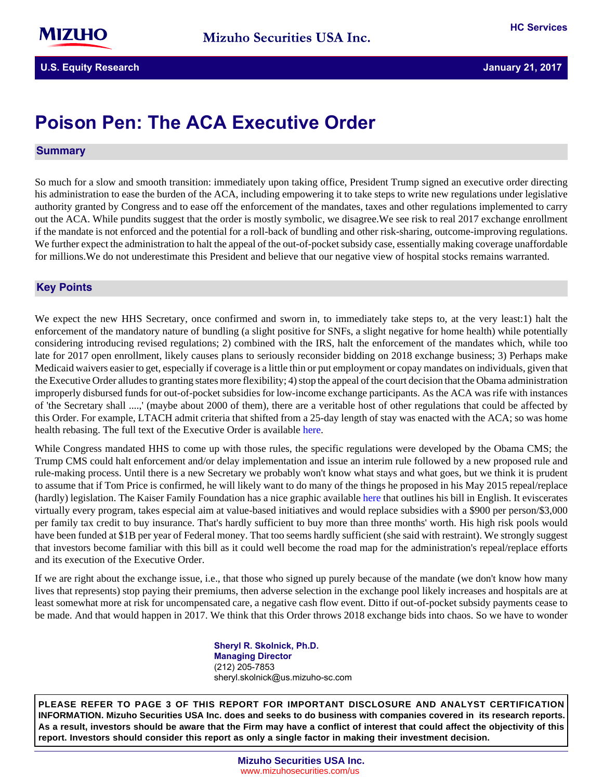# **Poison Pen: The ACA Executive Order**

### **Summary**

So much for a slow and smooth transition: immediately upon taking office, President Trump signed an executive order directing his administration to ease the burden of the ACA, including empowering it to take steps to write new regulations under legislative authority granted by Congress and to ease off the enforcement of the mandates, taxes and other regulations implemented to carry out the ACA. While pundits suggest that the order is mostly symbolic, we disagree.We see risk to real 2017 exchange enrollment if the mandate is not enforced and the potential for a roll-back of bundling and other risk-sharing, outcome-improving regulations. We further expect the administration to halt the appeal of the out-of-pocket subsidy case, essentially making coverage unaffordable for millions.We do not underestimate this President and believe that our negative view of hospital stocks remains warranted.

# **Key-Points**

We expect the new HHS Secretary, once confirmed and sworn in, to immediately take steps to, at the very least:1) halt the enforcement of the mandatory nature of bundling (a slight positive for SNFs, a slight negative for home health) while potentially considering introducing revised regulations; 2) combined with the IRS, halt the enforcement of the mandates which, while too late for 2017 open enrollment, likely causes plans to seriously reconsider bidding on 2018 exchange business; 3) Perhaps make Medicaid waivers easier to get, especially if coverage is a little thin or put employment or copay mandates on individuals, given that the Executive Order alludes to granting states more flexibility; 4) stop the appeal of the court decision that the Obama administration improperly disbursed funds for out-of-pocket subsidies for low-income exchange participants. As the ACA was rife with instances of 'the Secretary shall ....,' (maybe about 2000 of them), there are a veritable host of other regulations that could be affected by this Order. For example, LTACH admit criteria that shifted from a 25-day length of stay was enacted with the ACA; so was home health rebasing. The full text of the Executive Order is available [here.](http://www.cnn.com/2017/01/20/politics/trump-obamacare-executive-order/)

While Congress mandated HHS to come up with those rules, the specific regulations were developed by the Obama CMS; the Trump CMS could halt enforcement and/or delay implementation and issue an interim rule followed by a new proposed rule and rule-making process. Until there is a new Secretary we probably won't know what stays and what goes, but we think it is prudent to assume that if Tom Price is confirmed, he will likely want to do many of the things he proposed in his May 2015 repeal/replace (hardly) legislation. The Kaiser Family Foundation has a nice graphic available [here](http://kff.org/health-reform/issue-brief/proposals-to-replace-the-affordable-care-act/) that outlines his bill in English. It eviscerates virtually every program, takes especial aim at value-based initiatives and would replace subsidies with a \$900 per person/\$3,000 per family tax credit to buy insurance. That's hardly sufficient to buy more than three months' worth. His high risk pools would have been funded at \$1B per year of Federal money. That too seems hardly sufficient (she said with restraint). We strongly suggest that investors become familiar with this bill as it could well become the road map for the administration's repeal/replace efforts and its execution of the Executive Order.

If we are right about the exchange issue, i.e., that those who signed up purely because of the mandate (we don't know how many lives that represents) stop paying their premiums, then adverse selection in the exchange pool likely increases and hospitals are at least somewhat more at risk for uncompensated care, a negative cash flow event. Ditto if out-of-pocket subsidy payments cease to be made. And that would happen in 2017. We think that this Order throws 2018 exchange bids into chaos. So we have to wonder

> **Sheryl R. Skolnick, Ph.D. Managing Director** (212) 205-7853 sheryl.skolnick@us.mizuho-sc.com

**PLEASE REFER TO PAGE 3 OF THIS REPORT FOR IMPORTANT DISCLOSURE AND ANALYST CERTIFICATION INFORMATION. Mizuho Securities USA Inc. does and seeks to do business with companies covered in its research reports. As a result, investors should be aware that the Firm may have a conflict of interest that could affect the objectivity of this report. Investors should consider this report as only a single factor in making their investment decision.**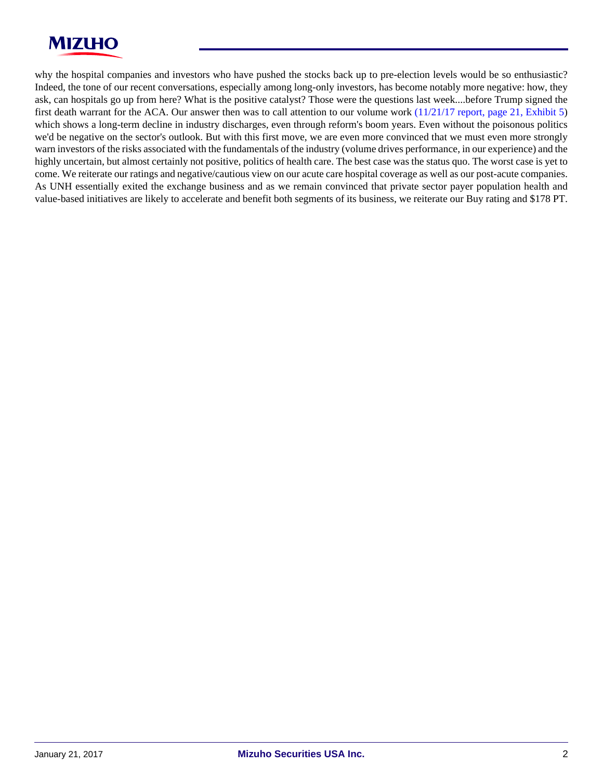

why the hospital companies and investors who have pushed the stocks back up to pre-election levels would be so enthusiastic? Indeed, the tone of our recent conversations, especially among long-only investors, has become notably more negative: how, they ask, can hospitals go up from here? What is the positive catalyst? Those were the questions last week....before Trump signed the first death warrant for the ACA. Our answer then was to call attention to our volume work [\(11/21/17 report, page 21, Exhibit 5](https://msusa.bluematrix.com/sellside/EmailDocViewer?encrypt=01412c36-72f1-4e11-a2cf-a07554906e88&mime=PDF&co=msusa&id=Sheryl.Skolnick@us.mizuho-sc.com&source=libraryView&htmlToPdf=true)) which shows a long-term decline in industry discharges, even through reform's boom years. Even without the poisonous politics we'd be negative on the sector's outlook. But with this first move, we are even more convinced that we must even more strongly warn investors of the risks associated with the fundamentals of the industry (volume drives performance, in our experience) and the highly uncertain, but almost certainly not positive, politics of health care. The best case was the status quo. The worst case is yet to come. We reiterate our ratings and negative/cautious view on our acute care hospital coverage as well as our post-acute companies. As UNH essentially exited the exchange business and as we remain convinced that private sector payer population health and value-based initiatives are likely to accelerate and benefit both segments of its business, we reiterate our Buy rating and \$178 PT.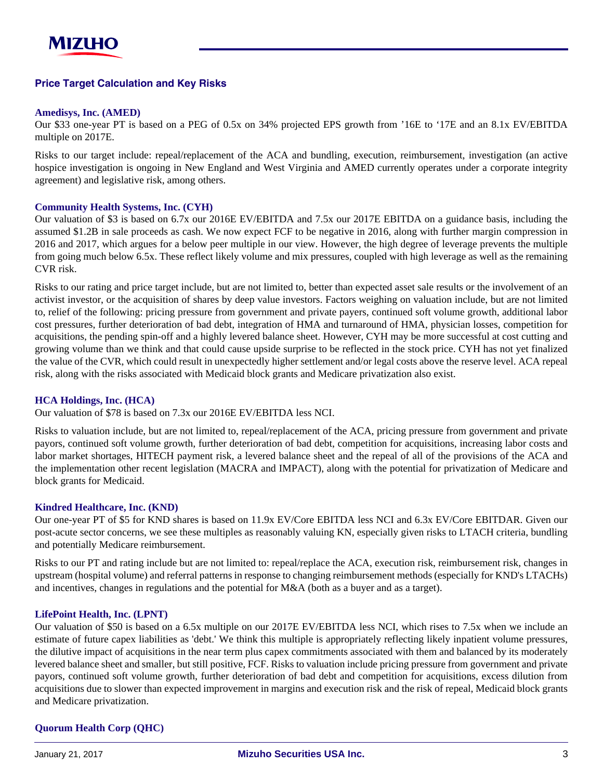# **Price-Target-Calculation-and-Key-Risks**

# **Amedisys, Inc. (AMED)**

Our \$33 one-year PT is based on a PEG of 0.5x on 34% projected EPS growth from '16E to '17E and an 8.1x EV/EBITDA multiple on 2017E.

Risks to our target include: repeal/replacement of the ACA and bundling, execution, reimbursement, investigation (an active hospice investigation is ongoing in New England and West Virginia and AMED currently operates under a corporate integrity agreement) and legislative risk, among others.

## **Community Health Systems, Inc. (CYH)**

Our valuation of \$3 is based on 6.7x our 2016E EV/EBITDA and 7.5x our 2017E EBITDA on a guidance basis, including the assumed \$1.2B in sale proceeds as cash. We now expect FCF to be negative in 2016, along with further margin compression in 2016 and 2017, which argues for a below peer multiple in our view. However, the high degree of leverage prevents the multiple from going much below 6.5x. These reflect likely volume and mix pressures, coupled with high leverage as well as the remaining CVR risk.

Risks to our rating and price target include, but are not limited to, better than expected asset sale results or the involvement of an activist investor, or the acquisition of shares by deep value investors. Factors weighing on valuation include, but are not limited to, relief of the following: pricing pressure from government and private payers, continued soft volume growth, additional labor cost pressures, further deterioration of bad debt, integration of HMA and turnaround of HMA, physician losses, competition for acquisitions, the pending spin-off and a highly levered balance sheet. However, CYH may be more successful at cost cutting and growing volume than we think and that could cause upside surprise to be reflected in the stock price. CYH has not yet finalized the value of the CVR, which could result in unexpectedly higher settlement and/or legal costs above the reserve level. ACA repeal risk, along with the risks associated with Medicaid block grants and Medicare privatization also exist.

# **HCA Holdings, Inc. (HCA)**

Our valuation of \$78 is based on 7.3x our 2016E EV/EBITDA less NCI.

Risks to valuation include, but are not limited to, repeal/replacement of the ACA, pricing pressure from government and private payors, continued soft volume growth, further deterioration of bad debt, competition for acquisitions, increasing labor costs and labor market shortages, HITECH payment risk, a levered balance sheet and the repeal of all of the provisions of the ACA and the implementation other recent legislation (MACRA and IMPACT), along with the potential for privatization of Medicare and block grants for Medicaid.

#### **Kindred Healthcare, Inc. (KND)**

Our one-year PT of \$5 for KND shares is based on 11.9x EV/Core EBITDA less NCI and 6.3x EV/Core EBITDAR. Given our post-acute sector concerns, we see these multiples as reasonably valuing KN, especially given risks to LTACH criteria, bundling and potentially Medicare reimbursement.

Risks to our PT and rating include but are not limited to: repeal/replace the ACA, execution risk, reimbursement risk, changes in upstream (hospital volume) and referral patterns in response to changing reimbursement methods (especially for KND's LTACHs) and incentives, changes in regulations and the potential for M&A (both as a buyer and as a target).

#### **LifePoint Health, Inc. (LPNT)**

Our valuation of \$50 is based on a 6.5x multiple on our 2017E EV/EBITDA less NCI, which rises to 7.5x when we include an estimate of future capex liabilities as 'debt.' We think this multiple is appropriately reflecting likely inpatient volume pressures, the dilutive impact of acquisitions in the near term plus capex commitments associated with them and balanced by its moderately levered balance sheet and smaller, but still positive, FCF. Risks to valuation include pricing pressure from government and private payors, continued soft volume growth, further deterioration of bad debt and competition for acquisitions, excess dilution from acquisitions due to slower than expected improvement in margins and execution risk and the risk of repeal, Medicaid block grants and Medicare privatization.

# **Quorum Health Corp (QHC)**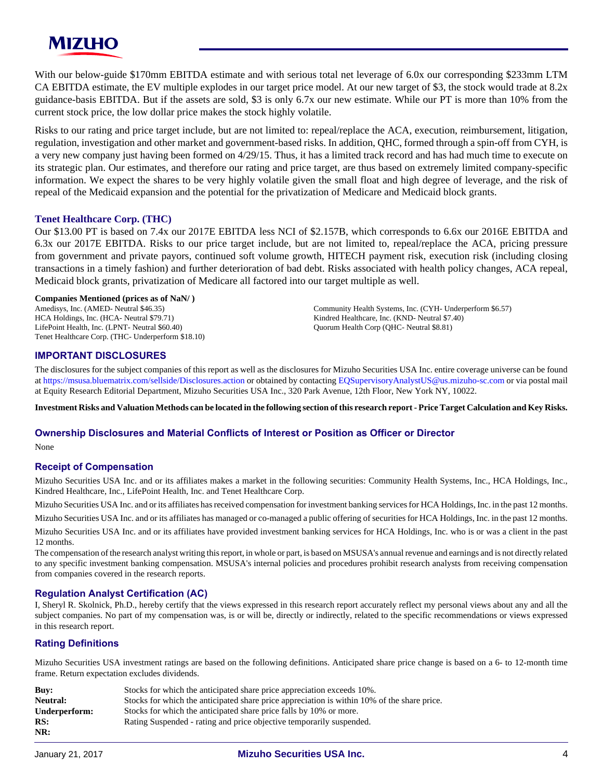

With our below-guide \$170mm EBITDA estimate and with serious total net leverage of 6.0x our corresponding \$233mm LTM CA EBITDA estimate, the EV multiple explodes in our target price model. At our new target of \$3, the stock would trade at 8.2x guidance-basis EBITDA. But if the assets are sold, \$3 is only 6.7x our new estimate. While our PT is more than 10% from the current stock price, the low dollar price makes the stock highly volatile.

Risks to our rating and price target include, but are not limited to: repeal/replace the ACA, execution, reimbursement, litigation, regulation, investigation and other market and government-based risks. In addition, QHC, formed through a spin-off from CYH, is a very new company just having been formed on 4/29/15. Thus, it has a limited track record and has had much time to execute on its strategic plan. Our estimates, and therefore our rating and price target, are thus based on extremely limited company-specific information. We expect the shares to be very highly volatile given the small float and high degree of leverage, and the risk of repeal of the Medicaid expansion and the potential for the privatization of Medicare and Medicaid block grants.

#### **Tenet Healthcare Corp. (THC)**

Our \$13.00 PT is based on 7.4x our 2017E EBITDA less NCI of \$2.157B, which corresponds to 6.6x our 2016E EBITDA and 6.3x our 2017E EBITDA. Risks to our price target include, but are not limited to, repeal/replace the ACA, pricing pressure from government and private payors, continued soft volume growth, HITECH payment risk, execution risk (including closing transactions in a timely fashion) and further deterioration of bad debt. Risks associated with health policy changes, ACA repeal, Medicaid block grants, privatization of Medicare all factored into our target multiple as well.

#### **Companies Mentioned (prices as of NaN/ )**

Amedisys, Inc. (AMED- Neutral \$46.35) HCA Holdings, Inc. (HCA- Neutral \$79.71) LifePoint Health, Inc. (LPNT- Neutral \$60.40) Tenet Healthcare Corp. (THC- Underperform \$18.10) Community Health Systems, Inc. (CYH- Underperform \$6.57) Kindred Healthcare, Inc. (KND- Neutral \$7.40) Quorum Health Corp (QHC- Neutral \$8.81)

#### **IMPORTANT DISCLOSURES**

The disclosures for the subject companies of this report as well as the disclosures for Mizuho Securities USA Inc. entire coverage universe can be found at<https://msusa.bluematrix.com/sellside/Disclosures.action>or obtained by contacting [EQSupervisoryAnalystUS@us.mizuho-sc.com](mailto:EQSupervisoryAnalystUS@us.mizuho-sc.com) or via postal mail at Equity Research Editorial Department, Mizuho Securities USA Inc., 320 Park Avenue, 12th Floor, New York NY, 10022.

**Investment Risks and Valuation Methods can be located in the following section of this research report - Price Target Calculation and Key Risks.**

#### **Ownership Disclosures and Material Conflicts of Interest or Position as Officer or Director**

None

#### **Receipt of Compensation**

Mizuho Securities USA Inc. and or its affiliates makes a market in the following securities: Community Health Systems, Inc., HCA Holdings, Inc., Kindred Healthcare, Inc., LifePoint Health, Inc. and Tenet Healthcare Corp.

Mizuho Securities USA Inc. and or its affiliates has received compensation for investment banking services for HCA Holdings, Inc. in the past 12 months.

Mizuho Securities USA Inc. and or its affiliates has managed or co-managed a public offering of securities for HCA Holdings, Inc. in the past 12 months.

Mizuho Securities USA Inc. and or its affiliates have provided investment banking services for HCA Holdings, Inc. who is or was a client in the past 12 months.

The compensation of the research analyst writing this report, in whole or part, is based on MSUSA's annual revenue and earnings and is not directly related to any specific investment banking compensation. MSUSA's internal policies and procedures prohibit research analysts from receiving compensation from companies covered in the research reports.

#### **Regulation Analyst Certification (AC)**

I, Sheryl R. Skolnick, Ph.D., hereby certify that the views expressed in this research report accurately reflect my personal views about any and all the subject companies. No part of my compensation was, is or will be, directly or indirectly, related to the specific recommendations or views expressed in this research report.

#### **Rating Definitions**

Mizuho Securities USA investment ratings are based on the following definitions. Anticipated share price change is based on a 6- to 12-month time frame. Return expectation excludes dividends.

| Buv:            | Stocks for which the anticipated share price appreciation exceeds 10%.                      |  |
|-----------------|---------------------------------------------------------------------------------------------|--|
| <b>Neutral:</b> | Stocks for which the anticipated share price appreciation is within 10% of the share price. |  |
| Underperform:   | Stocks for which the anticipated share price falls by 10% or more.                          |  |
| RS:             | Rating Suspended - rating and price objective temporarily suspended.                        |  |
| NR:             |                                                                                             |  |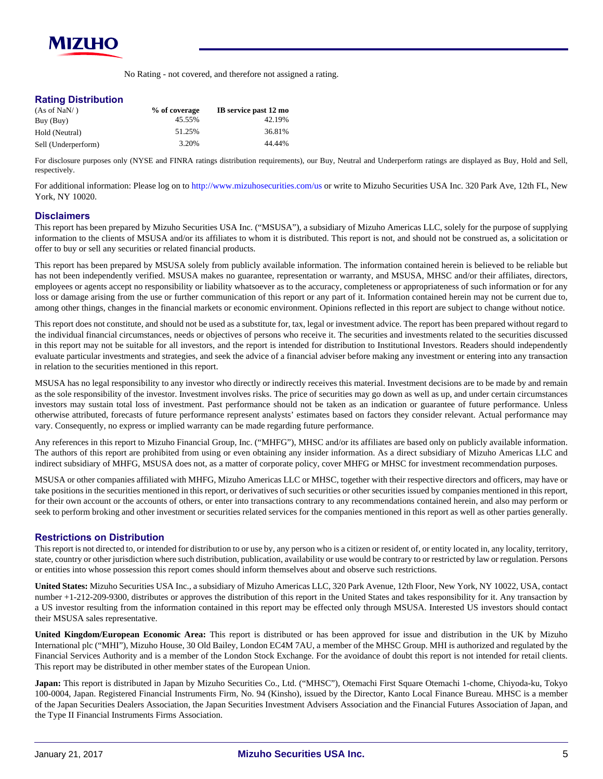

No Rating - not covered, and therefore not assigned a rating.

#### **Rating Distribution**

| (As of NaN/ )       | % of coverage | IB service past 12 mo |
|---------------------|---------------|-----------------------|
| Buy (Buy)           | 45.55%        | 42.19%                |
| Hold (Neutral)      | 51.25%        | 36.81%                |
| Sell (Underperform) | 3.20%         | 44.44%                |

For disclosure purposes only (NYSE and FINRA ratings distribution requirements), our Buy, Neutral and Underperform ratings are displayed as Buy, Hold and Sell, respectively.

For additional information: Please log on to <http://www.mizuhosecurities.com/us> or write to Mizuho Securities USA Inc. 320 Park Ave, 12th FL, New York, NY 10020.

#### **Disclaimers**

This report has been prepared by Mizuho Securities USA Inc. ("MSUSA"), a subsidiary of Mizuho Americas LLC, solely for the purpose of supplying information to the clients of MSUSA and/or its affiliates to whom it is distributed. This report is not, and should not be construed as, a solicitation or offer to buy or sell any securities or related financial products.

This report has been prepared by MSUSA solely from publicly available information. The information contained herein is believed to be reliable but has not been independently verified. MSUSA makes no guarantee, representation or warranty, and MSUSA, MHSC and/or their affiliates, directors, employees or agents accept no responsibility or liability whatsoever as to the accuracy, completeness or appropriateness of such information or for any loss or damage arising from the use or further communication of this report or any part of it. Information contained herein may not be current due to, among other things, changes in the financial markets or economic environment. Opinions reflected in this report are subject to change without notice.

This report does not constitute, and should not be used as a substitute for, tax, legal or investment advice. The report has been prepared without regard to the individual financial circumstances, needs or objectives of persons who receive it. The securities and investments related to the securities discussed in this report may not be suitable for all investors, and the report is intended for distribution to Institutional Investors. Readers should independently evaluate particular investments and strategies, and seek the advice of a financial adviser before making any investment or entering into any transaction in relation to the securities mentioned in this report.

MSUSA has no legal responsibility to any investor who directly or indirectly receives this material. Investment decisions are to be made by and remain as the sole responsibility of the investor. Investment involves risks. The price of securities may go down as well as up, and under certain circumstances investors may sustain total loss of investment. Past performance should not be taken as an indication or guarantee of future performance. Unless otherwise attributed, forecasts of future performance represent analysts' estimates based on factors they consider relevant. Actual performance may vary. Consequently, no express or implied warranty can be made regarding future performance.

Any references in this report to Mizuho Financial Group, Inc. ("MHFG"), MHSC and/or its affiliates are based only on publicly available information. The authors of this report are prohibited from using or even obtaining any insider information. As a direct subsidiary of Mizuho Americas LLC and indirect subsidiary of MHFG, MSUSA does not, as a matter of corporate policy, cover MHFG or MHSC for investment recommendation purposes.

MSUSA or other companies affiliated with MHFG, Mizuho Americas LLC or MHSC, together with their respective directors and officers, may have or take positions in the securities mentioned in this report, or derivatives of such securities or other securities issued by companies mentioned in this report, for their own account or the accounts of others, or enter into transactions contrary to any recommendations contained herein, and also may perform or seek to perform broking and other investment or securities related services for the companies mentioned in this report as well as other parties generally.

#### **Restrictions on Distribution**

This report is not directed to, or intended for distribution to or use by, any person who is a citizen or resident of, or entity located in, any locality, territory, state, country or other jurisdiction where such distribution, publication, availability or use would be contrary to or restricted by law or regulation. Persons or entities into whose possession this report comes should inform themselves about and observe such restrictions.

**United States:** Mizuho Securities USA Inc., a subsidiary of Mizuho Americas LLC, 320 Park Avenue, 12th Floor, New York, NY 10022, USA, contact number +1-212-209-9300, distributes or approves the distribution of this report in the United States and takes responsibility for it. Any transaction by a US investor resulting from the information contained in this report may be effected only through MSUSA. Interested US investors should contact their MSUSA sales representative.

**United Kingdom/European Economic Area:** This report is distributed or has been approved for issue and distribution in the UK by Mizuho International plc ("MHI"), Mizuho House, 30 Old Bailey, London EC4M 7AU, a member of the MHSC Group. MHI is authorized and regulated by the Financial Services Authority and is a member of the London Stock Exchange. For the avoidance of doubt this report is not intended for retail clients. This report may be distributed in other member states of the European Union.

**Japan:** This report is distributed in Japan by Mizuho Securities Co., Ltd. ("MHSC"), Otemachi First Square Otemachi 1-chome, Chiyoda-ku, Tokyo 100-0004, Japan. Registered Financial Instruments Firm, No. 94 (Kinsho), issued by the Director, Kanto Local Finance Bureau. MHSC is a member of the Japan Securities Dealers Association, the Japan Securities Investment Advisers Association and the Financial Futures Association of Japan, and the Type II Financial Instruments Firms Association.